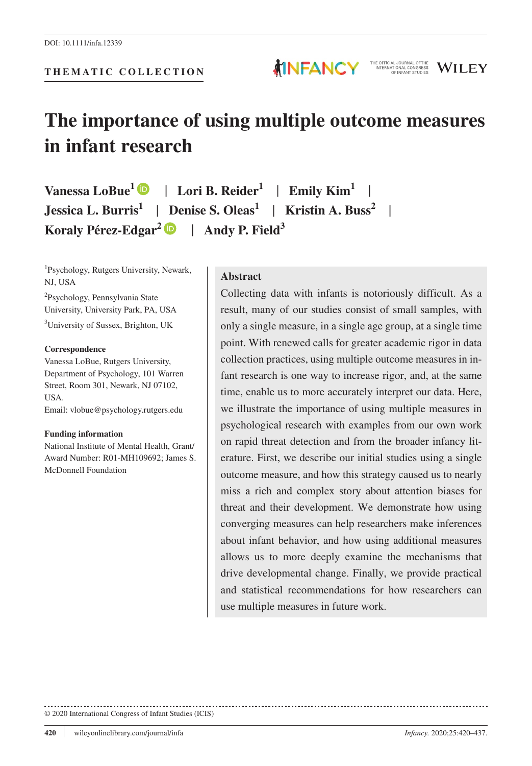

**MINFANCY** 

**Vanessa LoBue1** | **Lori B. Reider1** | **Emily Kim1** | **Jessica L. Burris**<sup>1</sup> | Denise S. Oleas<sup>1</sup> | **Kristin A. Buss**<sup>2</sup> **Koraly Pérez-Edgar**<sup>[2](https://orcid.org/0000-0003-4051-9563)</sup>  $\bullet$  | Andy P. Field<sup>3</sup>

1 Psychology, Rutgers University, Newark, NJ, USA

2 Psychology, Pennsylvania State University, University Park, PA, USA <sup>3</sup>University of Sussex, Brighton, UK

#### **Correspondence**

Vanessa LoBue, Rutgers University, Department of Psychology, 101 Warren Street, Room 301, Newark, NJ 07102, USA.

Email: [vlobue@psychology.rutgers.edu](mailto:vlobue@psychology.rutgers.edu)

#### **Funding information**

National Institute of Mental Health, Grant/ Award Number: R01-MH109692; James S. McDonnell Foundation

### **Abstract**

Collecting data with infants is notoriously difficult. As a result, many of our studies consist of small samples, with only a single measure, in a single age group, at a single time point. With renewed calls for greater academic rigor in data collection practices, using multiple outcome measures in infant research is one way to increase rigor, and, at the same time, enable us to more accurately interpret our data. Here, we illustrate the importance of using multiple measures in psychological research with examples from our own work on rapid threat detection and from the broader infancy literature. First, we describe our initial studies using a single outcome measure, and how this strategy caused us to nearly miss a rich and complex story about attention biases for threat and their development. We demonstrate how using converging measures can help researchers make inferences about infant behavior, and how using additional measures allows us to more deeply examine the mechanisms that drive developmental change. Finally, we provide practical and statistical recommendations for how researchers can use multiple measures in future work.

THE OFFICIAL JOURNAL OFTHE<br>INTERNATIONAL CONGRESS<br>OF INFANT STUDIES

WILEY

#### © 2020 International Congress of Infant Studies (ICIS)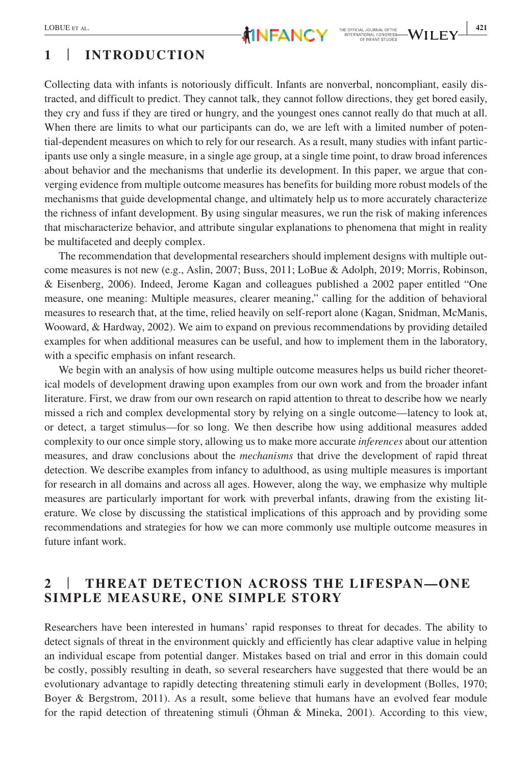# **1** | **INTRODUCTION**

Collecting data with infants is notoriously difficult. Infants are nonverbal, noncompliant, easily distracted, and difficult to predict. They cannot talk, they cannot follow directions, they get bored easily, they cry and fuss if they are tired or hungry, and the youngest ones cannot really do that much at all. When there are limits to what our participants can do, we are left with a limited number of potential-dependent measures on which to rely for our research. As a result, many studies with infant participants use only a single measure, in a single age group, at a single time point, to draw broad inferences about behavior and the mechanisms that underlie its development. In this paper, we argue that converging evidence from multiple outcome measures has benefits for building more robust models of the mechanisms that guide developmental change, and ultimately help us to more accurately characterize the richness of infant development. By using singular measures, we run the risk of making inferences that mischaracterize behavior, and attribute singular explanations to phenomena that might in reality be multifaceted and deeply complex.

The recommendation that developmental researchers should implement designs with multiple outcome measures is not new (e.g., Aslin, 2007; Buss, 2011; LoBue & Adolph, 2019; Morris, Robinson, & Eisenberg, 2006). Indeed, Jerome Kagan and colleagues published a 2002 paper entitled "One measure, one meaning: Multiple measures, clearer meaning," calling for the addition of behavioral measures to research that, at the time, relied heavily on self-report alone (Kagan, Snidman, McManis, Wooward, & Hardway, 2002). We aim to expand on previous recommendations by providing detailed examples for when additional measures can be useful, and how to implement them in the laboratory, with a specific emphasis on infant research.

We begin with an analysis of how using multiple outcome measures helps us build richer theoretical models of development drawing upon examples from our own work and from the broader infant literature. First, we draw from our own research on rapid attention to threat to describe how we nearly missed a rich and complex developmental story by relying on a single outcome—latency to look at, or detect, a target stimulus—for so long. We then describe how using additional measures added complexity to our once simple story, allowing us to make more accurate *inferences* about our attention measures, and draw conclusions about the *mechanisms* that drive the development of rapid threat detection. We describe examples from infancy to adulthood, as using multiple measures is important for research in all domains and across all ages. However, along the way, we emphasize why multiple measures are particularly important for work with preverbal infants, drawing from the existing literature. We close by discussing the statistical implications of this approach and by providing some recommendations and strategies for how we can more commonly use multiple outcome measures in future infant work.

### **2** | **THREAT DETECTION ACROSS THE LIFESPAN—ONE SIMPLE MEASURE, ONE SIMPLE STORY**

Researchers have been interested in humans' rapid responses to threat for decades. The ability to detect signals of threat in the environment quickly and efficiently has clear adaptive value in helping an individual escape from potential danger. Mistakes based on trial and error in this domain could be costly, possibly resulting in death, so several researchers have suggested that there would be an evolutionary advantage to rapidly detecting threatening stimuli early in development (Bolles, 1970; Boyer & Bergstrom, 2011). As a result, some believe that humans have an evolved fear module for the rapid detection of threatening stimuli (Öhman & Mineka, 2001). According to this view,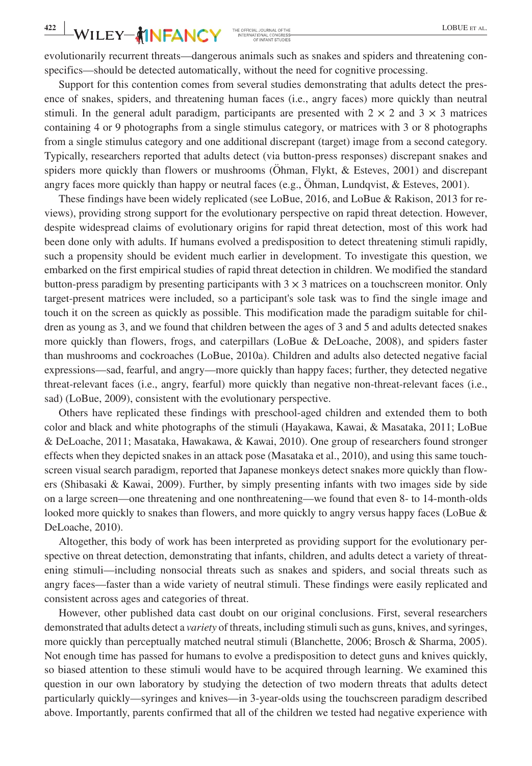evolutionarily recurrent threats—dangerous animals such as snakes and spiders and threatening conspecifics—should be detected automatically, without the need for cognitive processing.

Support for this contention comes from several studies demonstrating that adults detect the presence of snakes, spiders, and threatening human faces (i.e., angry faces) more quickly than neutral stimuli. In the general adult paradigm, participants are presented with  $2 \times 2$  and  $3 \times 3$  matrices containing 4 or 9 photographs from a single stimulus category, or matrices with 3 or 8 photographs from a single stimulus category and one additional discrepant (target) image from a second category. Typically, researchers reported that adults detect (via button-press responses) discrepant snakes and spiders more quickly than flowers or mushrooms (Öhman, Flykt, & Esteves, 2001) and discrepant angry faces more quickly than happy or neutral faces (e.g., Öhman, Lundqvist, & Esteves, 2001).

These findings have been widely replicated (see LoBue, 2016, and LoBue & Rakison, 2013 for reviews), providing strong support for the evolutionary perspective on rapid threat detection. However, despite widespread claims of evolutionary origins for rapid threat detection, most of this work had been done only with adults. If humans evolved a predisposition to detect threatening stimuli rapidly, such a propensity should be evident much earlier in development. To investigate this question, we embarked on the first empirical studies of rapid threat detection in children. We modified the standard button-press paradigm by presenting participants with  $3 \times 3$  matrices on a touchscreen monitor. Only target-present matrices were included, so a participant's sole task was to find the single image and touch it on the screen as quickly as possible. This modification made the paradigm suitable for children as young as 3, and we found that children between the ages of 3 and 5 and adults detected snakes more quickly than flowers, frogs, and caterpillars (LoBue & DeLoache, 2008), and spiders faster than mushrooms and cockroaches (LoBue, 2010a). Children and adults also detected negative facial expressions—sad, fearful, and angry—more quickly than happy faces; further, they detected negative threat-relevant faces (i.e., angry, fearful) more quickly than negative non-threat-relevant faces (i.e., sad) (LoBue, 2009), consistent with the evolutionary perspective.

Others have replicated these findings with preschool-aged children and extended them to both color and black and white photographs of the stimuli (Hayakawa, Kawai, & Masataka, 2011; LoBue & DeLoache, 2011; Masataka, Hawakawa, & Kawai, 2010). One group of researchers found stronger effects when they depicted snakes in an attack pose (Masataka et al., 2010), and using this same touchscreen visual search paradigm, reported that Japanese monkeys detect snakes more quickly than flowers (Shibasaki & Kawai, 2009). Further, by simply presenting infants with two images side by side on a large screen—one threatening and one nonthreatening—we found that even 8- to 14-month-olds looked more quickly to snakes than flowers, and more quickly to angry versus happy faces (LoBue & DeLoache, 2010).

Altogether, this body of work has been interpreted as providing support for the evolutionary perspective on threat detection, demonstrating that infants, children, and adults detect a variety of threatening stimuli—including nonsocial threats such as snakes and spiders, and social threats such as angry faces—faster than a wide variety of neutral stimuli. These findings were easily replicated and consistent across ages and categories of threat.

However, other published data cast doubt on our original conclusions. First, several researchers demonstrated that adults detect a *variety* of threats, including stimuli such as guns, knives, and syringes, more quickly than perceptually matched neutral stimuli (Blanchette, 2006; Brosch & Sharma, 2005). Not enough time has passed for humans to evolve a predisposition to detect guns and knives quickly, so biased attention to these stimuli would have to be acquired through learning. We examined this question in our own laboratory by studying the detection of two modern threats that adults detect particularly quickly—syringes and knives—in 3-year-olds using the touchscreen paradigm described above. Importantly, parents confirmed that all of the children we tested had negative experience with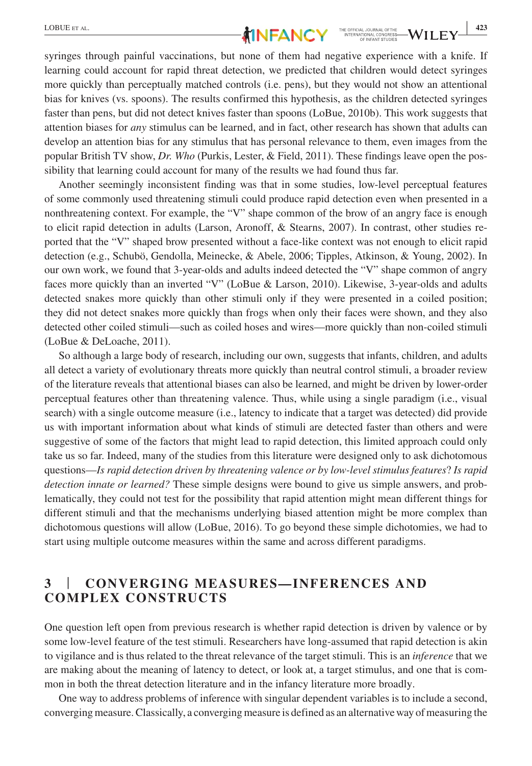

syringes through painful vaccinations, but none of them had negative experience with a knife. If learning could account for rapid threat detection, we predicted that children would detect syringes more quickly than perceptually matched controls (i.e. pens), but they would not show an attentional bias for knives (vs. spoons). The results confirmed this hypothesis, as the children detected syringes faster than pens, but did not detect knives faster than spoons (LoBue, 2010b). This work suggests that attention biases for *any* stimulus can be learned, and in fact, other research has shown that adults can develop an attention bias for any stimulus that has personal relevance to them, even images from the popular British TV show, *Dr. Who* (Purkis, Lester, & Field, 2011). These findings leave open the possibility that learning could account for many of the results we had found thus far.

Another seemingly inconsistent finding was that in some studies, low-level perceptual features of some commonly used threatening stimuli could produce rapid detection even when presented in a nonthreatening context. For example, the "V" shape common of the brow of an angry face is enough to elicit rapid detection in adults (Larson, Aronoff, & Stearns, 2007). In contrast, other studies reported that the "V" shaped brow presented without a face-like context was not enough to elicit rapid detection (e.g., Schubö, Gendolla, Meinecke, & Abele, 2006; Tipples, Atkinson, & Young, 2002). In our own work, we found that 3-year-olds and adults indeed detected the "V" shape common of angry faces more quickly than an inverted "V" (LoBue & Larson, 2010). Likewise, 3-year-olds and adults detected snakes more quickly than other stimuli only if they were presented in a coiled position; they did not detect snakes more quickly than frogs when only their faces were shown, and they also detected other coiled stimuli—such as coiled hoses and wires—more quickly than non-coiled stimuli (LoBue & DeLoache, 2011).

So although a large body of research, including our own, suggests that infants, children, and adults all detect a variety of evolutionary threats more quickly than neutral control stimuli, a broader review of the literature reveals that attentional biases can also be learned, and might be driven by lower-order perceptual features other than threatening valence. Thus, while using a single paradigm (i.e., visual search) with a single outcome measure (i.e., latency to indicate that a target was detected) did provide us with important information about what kinds of stimuli are detected faster than others and were suggestive of some of the factors that might lead to rapid detection, this limited approach could only take us so far. Indeed, many of the studies from this literature were designed only to ask dichotomous questions—*Is rapid detection driven by threatening valence or by low-level stimulus features*? *Is rapid detection innate or learned?* These simple designs were bound to give us simple answers, and problematically, they could not test for the possibility that rapid attention might mean different things for different stimuli and that the mechanisms underlying biased attention might be more complex than dichotomous questions will allow (LoBue, 2016). To go beyond these simple dichotomies, we had to start using multiple outcome measures within the same and across different paradigms.

# **3** | **CONVERGING MEASURES—INFERENCES AND COMPLEX CONSTRUCTS**

One question left open from previous research is whether rapid detection is driven by valence or by some low-level feature of the test stimuli. Researchers have long-assumed that rapid detection is akin to vigilance and is thus related to the threat relevance of the target stimuli. This is an *inference* that we are making about the meaning of latency to detect, or look at, a target stimulus, and one that is common in both the threat detection literature and in the infancy literature more broadly.

One way to address problems of inference with singular dependent variables is to include a second, converging measure. Classically, a converging measure is defined as an alternative way of measuring the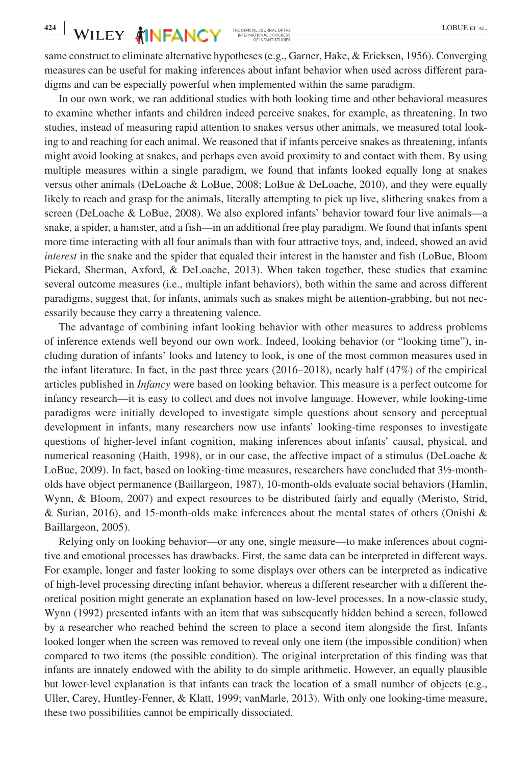same construct to eliminate alternative hypotheses (e.g., Garner, Hake, & Ericksen, 1956). Converging measures can be useful for making inferences about infant behavior when used across different paradigms and can be especially powerful when implemented within the same paradigm.

In our own work, we ran additional studies with both looking time and other behavioral measures to examine whether infants and children indeed perceive snakes, for example, as threatening. In two studies, instead of measuring rapid attention to snakes versus other animals, we measured total looking to and reaching for each animal. We reasoned that if infants perceive snakes as threatening, infants might avoid looking at snakes, and perhaps even avoid proximity to and contact with them. By using multiple measures within a single paradigm, we found that infants looked equally long at snakes versus other animals (DeLoache & LoBue, 2008; LoBue & DeLoache, 2010), and they were equally likely to reach and grasp for the animals, literally attempting to pick up live, slithering snakes from a screen (DeLoache & LoBue, 2008). We also explored infants' behavior toward four live animals—a snake, a spider, a hamster, and a fish—in an additional free play paradigm. We found that infants spent more time interacting with all four animals than with four attractive toys, and, indeed, showed an avid *interest* in the snake and the spider that equaled their interest in the hamster and fish (LoBue, Bloom Pickard, Sherman, Axford, & DeLoache, 2013). When taken together, these studies that examine several outcome measures (i.e., multiple infant behaviors), both within the same and across different paradigms, suggest that, for infants, animals such as snakes might be attention-grabbing, but not necessarily because they carry a threatening valence.

The advantage of combining infant looking behavior with other measures to address problems of inference extends well beyond our own work. Indeed, looking behavior (or "looking time"), including duration of infants' looks and latency to look, is one of the most common measures used in the infant literature. In fact, in the past three years (2016–2018), nearly half (47%) of the empirical articles published in *Infancy* were based on looking behavior. This measure is a perfect outcome for infancy research—it is easy to collect and does not involve language. However, while looking-time paradigms were initially developed to investigate simple questions about sensory and perceptual development in infants, many researchers now use infants' looking-time responses to investigate questions of higher-level infant cognition, making inferences about infants' causal, physical, and numerical reasoning (Haith, 1998), or in our case, the affective impact of a stimulus (DeLoache  $\&$ LoBue, 2009). In fact, based on looking-time measures, researchers have concluded that 3½-montholds have object permanence (Baillargeon, 1987), 10-month-olds evaluate social behaviors (Hamlin, Wynn, & Bloom, 2007) and expect resources to be distributed fairly and equally (Meristo, Strid, & Surian, 2016), and 15-month-olds make inferences about the mental states of others (Onishi & Baillargeon, 2005).

Relying only on looking behavior—or any one, single measure—to make inferences about cognitive and emotional processes has drawbacks. First, the same data can be interpreted in different ways. For example, longer and faster looking to some displays over others can be interpreted as indicative of high-level processing directing infant behavior, whereas a different researcher with a different theoretical position might generate an explanation based on low-level processes. In a now-classic study, Wynn (1992) presented infants with an item that was subsequently hidden behind a screen, followed by a researcher who reached behind the screen to place a second item alongside the first. Infants looked longer when the screen was removed to reveal only one item (the impossible condition) when compared to two items (the possible condition). The original interpretation of this finding was that infants are innately endowed with the ability to do simple arithmetic. However, an equally plausible but lower-level explanation is that infants can track the location of a small number of objects (e.g., Uller, Carey, Huntley-Fenner, & Klatt, 1999; vanMarle, 2013). With only one looking-time measure, these two possibilities cannot be empirically dissociated.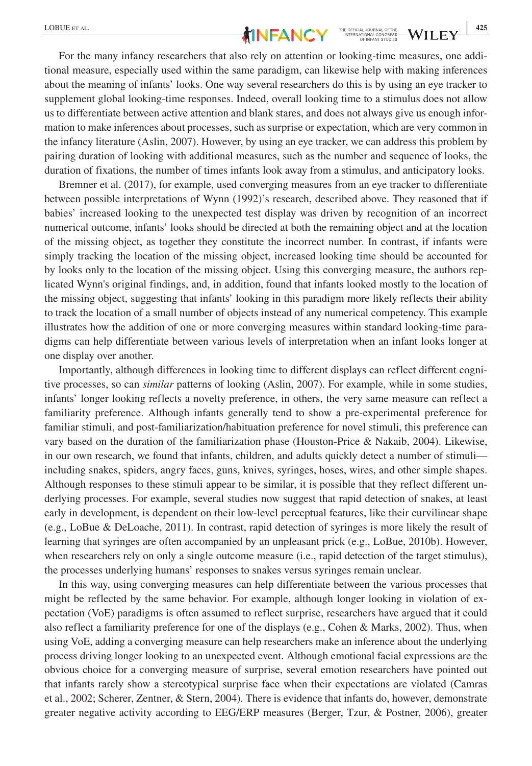

For the many infancy researchers that also rely on attention or looking-time measures, one additional measure, especially used within the same paradigm, can likewise help with making inferences about the meaning of infants' looks. One way several researchers do this is by using an eye tracker to supplement global looking-time responses. Indeed, overall looking time to a stimulus does not allow us to differentiate between active attention and blank stares, and does not always give us enough information to make inferences about processes, such as surprise or expectation, which are very common in the infancy literature (Aslin, 2007). However, by using an eye tracker, we can address this problem by pairing duration of looking with additional measures, such as the number and sequence of looks, the duration of fixations, the number of times infants look away from a stimulus, and anticipatory looks.

Bremner et al. (2017), for example, used converging measures from an eye tracker to differentiate between possible interpretations of Wynn (1992)'s research, described above. They reasoned that if babies' increased looking to the unexpected test display was driven by recognition of an incorrect numerical outcome, infants' looks should be directed at both the remaining object and at the location of the missing object, as together they constitute the incorrect number. In contrast, if infants were simply tracking the location of the missing object, increased looking time should be accounted for by looks only to the location of the missing object. Using this converging measure, the authors replicated Wynn's original findings, and, in addition, found that infants looked mostly to the location of the missing object, suggesting that infants' looking in this paradigm more likely reflects their ability to track the location of a small number of objects instead of any numerical competency. This example illustrates how the addition of one or more converging measures within standard looking-time paradigms can help differentiate between various levels of interpretation when an infant looks longer at one display over another.

Importantly, although differences in looking time to different displays can reflect different cognitive processes, so can *similar* patterns of looking (Aslin, 2007). For example, while in some studies, infants' longer looking reflects a novelty preference, in others, the very same measure can reflect a familiarity preference. Although infants generally tend to show a pre-experimental preference for familiar stimuli, and post-familiarization/habituation preference for novel stimuli, this preference can vary based on the duration of the familiarization phase (Houston-Price & Nakaib, 2004). Likewise, in our own research, we found that infants, children, and adults quickly detect a number of stimuli including snakes, spiders, angry faces, guns, knives, syringes, hoses, wires, and other simple shapes. Although responses to these stimuli appear to be similar, it is possible that they reflect different underlying processes. For example, several studies now suggest that rapid detection of snakes, at least early in development, is dependent on their low-level perceptual features, like their curvilinear shape (e.g., LoBue & DeLoache, 2011). In contrast, rapid detection of syringes is more likely the result of learning that syringes are often accompanied by an unpleasant prick (e.g., LoBue, 2010b). However, when researchers rely on only a single outcome measure (i.e., rapid detection of the target stimulus), the processes underlying humans' responses to snakes versus syringes remain unclear.

In this way, using converging measures can help differentiate between the various processes that might be reflected by the same behavior. For example, although longer looking in violation of expectation (VoE) paradigms is often assumed to reflect surprise, researchers have argued that it could also reflect a familiarity preference for one of the displays (e.g., Cohen & Marks, 2002). Thus, when using VoE, adding a converging measure can help researchers make an inference about the underlying process driving longer looking to an unexpected event. Although emotional facial expressions are the obvious choice for a converging measure of surprise, several emotion researchers have pointed out that infants rarely show a stereotypical surprise face when their expectations are violated (Camras et al., 2002; Scherer, Zentner, & Stern, 2004). There is evidence that infants do, however, demonstrate greater negative activity according to EEG/ERP measures (Berger, Tzur, & Postner, 2006), greater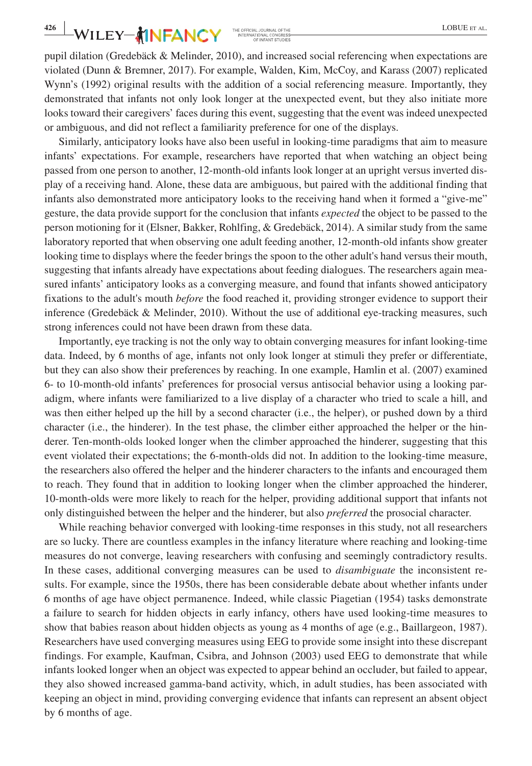pupil dilation (Gredebäck & Melinder, 2010), and increased social referencing when expectations are violated (Dunn & Bremner, 2017). For example, Walden, Kim, McCoy, and Karass (2007) replicated Wynn's (1992) original results with the addition of a social referencing measure. Importantly, they demonstrated that infants not only look longer at the unexpected event, but they also initiate more looks toward their caregivers' faces during this event, suggesting that the event was indeed unexpected or ambiguous, and did not reflect a familiarity preference for one of the displays.

Similarly, anticipatory looks have also been useful in looking-time paradigms that aim to measure infants' expectations. For example, researchers have reported that when watching an object being passed from one person to another, 12-month-old infants look longer at an upright versus inverted display of a receiving hand. Alone, these data are ambiguous, but paired with the additional finding that infants also demonstrated more anticipatory looks to the receiving hand when it formed a "give-me" gesture, the data provide support for the conclusion that infants *expected* the object to be passed to the person motioning for it (Elsner, Bakker, Rohlfing, & Gredebäck, 2014). A similar study from the same laboratory reported that when observing one adult feeding another, 12-month-old infants show greater looking time to displays where the feeder brings the spoon to the other adult's hand versus their mouth, suggesting that infants already have expectations about feeding dialogues. The researchers again measured infants' anticipatory looks as a converging measure, and found that infants showed anticipatory fixations to the adult's mouth *before* the food reached it, providing stronger evidence to support their inference (Gredebäck & Melinder, 2010). Without the use of additional eye-tracking measures, such strong inferences could not have been drawn from these data.

Importantly, eye tracking is not the only way to obtain converging measures for infant looking-time data. Indeed, by 6 months of age, infants not only look longer at stimuli they prefer or differentiate, but they can also show their preferences by reaching. In one example, Hamlin et al. (2007) examined 6- to 10-month-old infants' preferences for prosocial versus antisocial behavior using a looking paradigm, where infants were familiarized to a live display of a character who tried to scale a hill, and was then either helped up the hill by a second character (i.e., the helper), or pushed down by a third character (i.e., the hinderer). In the test phase, the climber either approached the helper or the hinderer. Ten-month-olds looked longer when the climber approached the hinderer, suggesting that this event violated their expectations; the 6-month-olds did not. In addition to the looking-time measure, the researchers also offered the helper and the hinderer characters to the infants and encouraged them to reach. They found that in addition to looking longer when the climber approached the hinderer, 10-month-olds were more likely to reach for the helper, providing additional support that infants not only distinguished between the helper and the hinderer, but also *preferred* the prosocial character.

While reaching behavior converged with looking-time responses in this study, not all researchers are so lucky. There are countless examples in the infancy literature where reaching and looking-time measures do not converge, leaving researchers with confusing and seemingly contradictory results. In these cases, additional converging measures can be used to *disambiguate* the inconsistent results. For example, since the 1950s, there has been considerable debate about whether infants under 6 months of age have object permanence. Indeed, while classic Piagetian (1954) tasks demonstrate a failure to search for hidden objects in early infancy, others have used looking-time measures to show that babies reason about hidden objects as young as 4 months of age (e.g., Baillargeon, 1987). Researchers have used converging measures using EEG to provide some insight into these discrepant findings. For example, Kaufman, Csibra, and Johnson (2003) used EEG to demonstrate that while infants looked longer when an object was expected to appear behind an occluder, but failed to appear, they also showed increased gamma-band activity, which, in adult studies, has been associated with keeping an object in mind, providing converging evidence that infants can represent an absent object by 6 months of age.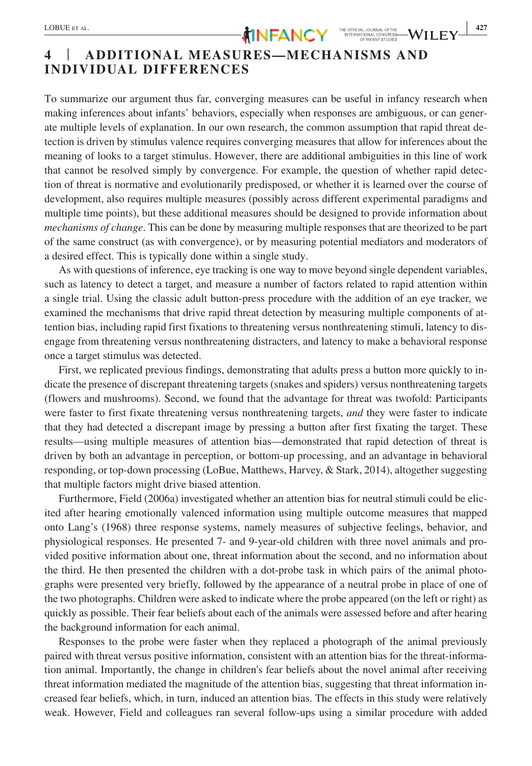To summarize our argument thus far, converging measures can be useful in infancy research when making inferences about infants' behaviors, especially when responses are ambiguous, or can generate multiple levels of explanation. In our own research, the common assumption that rapid threat detection is driven by stimulus valence requires converging measures that allow for inferences about the meaning of looks to a target stimulus. However, there are additional ambiguities in this line of work that cannot be resolved simply by convergence. For example, the question of whether rapid detection of threat is normative and evolutionarily predisposed, or whether it is learned over the course of development, also requires multiple measures (possibly across different experimental paradigms and multiple time points), but these additional measures should be designed to provide information about *mechanisms of change*. This can be done by measuring multiple responses that are theorized to be part of the same construct (as with convergence), or by measuring potential mediators and moderators of a desired effect. This is typically done within a single study.

As with questions of inference, eye tracking is one way to move beyond single dependent variables, such as latency to detect a target, and measure a number of factors related to rapid attention within a single trial. Using the classic adult button-press procedure with the addition of an eye tracker, we examined the mechanisms that drive rapid threat detection by measuring multiple components of attention bias, including rapid first fixations to threatening versus nonthreatening stimuli, latency to disengage from threatening versus nonthreatening distracters, and latency to make a behavioral response once a target stimulus was detected.

First, we replicated previous findings, demonstrating that adults press a button more quickly to indicate the presence of discrepant threatening targets (snakes and spiders) versus nonthreatening targets (flowers and mushrooms). Second, we found that the advantage for threat was twofold: Participants were faster to first fixate threatening versus nonthreatening targets, *and* they were faster to indicate that they had detected a discrepant image by pressing a button after first fixating the target. These results—using multiple measures of attention bias—demonstrated that rapid detection of threat is driven by both an advantage in perception, or bottom-up processing, and an advantage in behavioral responding, or top-down processing (LoBue, Matthews, Harvey, & Stark, 2014), altogether suggesting that multiple factors might drive biased attention.

Furthermore, Field (2006a) investigated whether an attention bias for neutral stimuli could be elicited after hearing emotionally valenced information using multiple outcome measures that mapped onto Lang's (1968) three response systems, namely measures of subjective feelings, behavior, and physiological responses. He presented 7- and 9-year-old children with three novel animals and provided positive information about one, threat information about the second, and no information about the third. He then presented the children with a dot-probe task in which pairs of the animal photographs were presented very briefly, followed by the appearance of a neutral probe in place of one of the two photographs. Children were asked to indicate where the probe appeared (on the left or right) as quickly as possible. Their fear beliefs about each of the animals were assessed before and after hearing the background information for each animal.

Responses to the probe were faster when they replaced a photograph of the animal previously paired with threat versus positive information, consistent with an attention bias for the threat-information animal. Importantly, the change in children's fear beliefs about the novel animal after receiving threat information mediated the magnitude of the attention bias, suggesting that threat information increased fear beliefs, which, in turn, induced an attention bias. The effects in this study were relatively weak. However, Field and colleagues ran several follow-ups using a similar procedure with added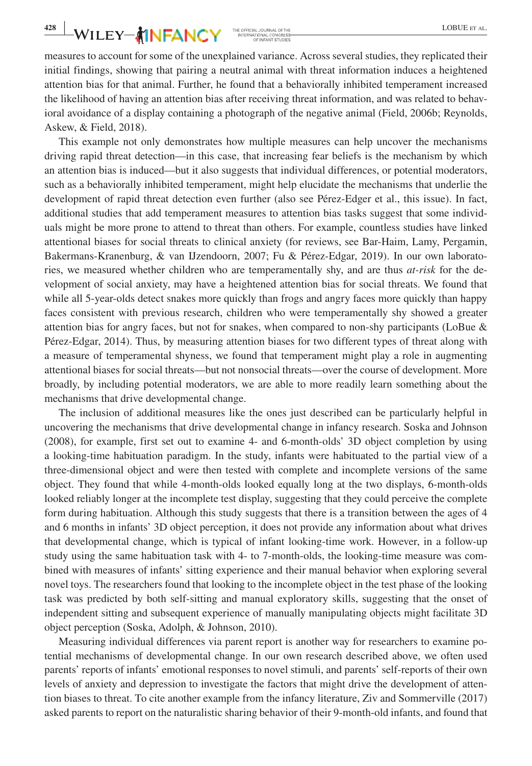**428 WILEY-MINFANCY** THE OFFICIAL JOURNAL OFTHE **SECOND CONSISTS AND AN INCREASE** 

measures to account for some of the unexplained variance. Across several studies, they replicated their initial findings, showing that pairing a neutral animal with threat information induces a heightened attention bias for that animal. Further, he found that a behaviorally inhibited temperament increased the likelihood of having an attention bias after receiving threat information, and was related to behavioral avoidance of a display containing a photograph of the negative animal (Field, 2006b; Reynolds, Askew, & Field, 2018).

This example not only demonstrates how multiple measures can help uncover the mechanisms driving rapid threat detection—in this case, that increasing fear beliefs is the mechanism by which an attention bias is induced—but it also suggests that individual differences, or potential moderators, such as a behaviorally inhibited temperament, might help elucidate the mechanisms that underlie the development of rapid threat detection even further (also see Pérez-Edger et al., this issue). In fact, additional studies that add temperament measures to attention bias tasks suggest that some individuals might be more prone to attend to threat than others. For example, countless studies have linked attentional biases for social threats to clinical anxiety (for reviews, see Bar-Haim, Lamy, Pergamin, Bakermans-Kranenburg, & van IJzendoorn, 2007; Fu & Pérez-Edgar, 2019). In our own laboratories, we measured whether children who are temperamentally shy, and are thus *at-risk* for the development of social anxiety, may have a heightened attention bias for social threats. We found that while all 5-year-olds detect snakes more quickly than frogs and angry faces more quickly than happy faces consistent with previous research, children who were temperamentally shy showed a greater attention bias for angry faces, but not for snakes, when compared to non-shy participants (LoBue & Pérez-Edgar, 2014). Thus, by measuring attention biases for two different types of threat along with a measure of temperamental shyness, we found that temperament might play a role in augmenting attentional biases for social threats—but not nonsocial threats—over the course of development. More broadly, by including potential moderators, we are able to more readily learn something about the mechanisms that drive developmental change.

The inclusion of additional measures like the ones just described can be particularly helpful in uncovering the mechanisms that drive developmental change in infancy research. Soska and Johnson (2008), for example, first set out to examine 4- and 6-month-olds' 3D object completion by using a looking-time habituation paradigm. In the study, infants were habituated to the partial view of a three-dimensional object and were then tested with complete and incomplete versions of the same object. They found that while 4-month-olds looked equally long at the two displays, 6-month-olds looked reliably longer at the incomplete test display, suggesting that they could perceive the complete form during habituation. Although this study suggests that there is a transition between the ages of 4 and 6 months in infants' 3D object perception, it does not provide any information about what drives that developmental change, which is typical of infant looking-time work. However, in a follow-up study using the same habituation task with 4- to 7-month-olds, the looking-time measure was combined with measures of infants' sitting experience and their manual behavior when exploring several novel toys. The researchers found that looking to the incomplete object in the test phase of the looking task was predicted by both self-sitting and manual exploratory skills, suggesting that the onset of independent sitting and subsequent experience of manually manipulating objects might facilitate 3D object perception (Soska, Adolph, & Johnson, 2010).

Measuring individual differences via parent report is another way for researchers to examine potential mechanisms of developmental change. In our own research described above, we often used parents' reports of infants' emotional responses to novel stimuli, and parents' self-reports of their own levels of anxiety and depression to investigate the factors that might drive the development of attention biases to threat. To cite another example from the infancy literature, Ziv and Sommerville (2017) asked parents to report on the naturalistic sharing behavior of their 9-month-old infants, and found that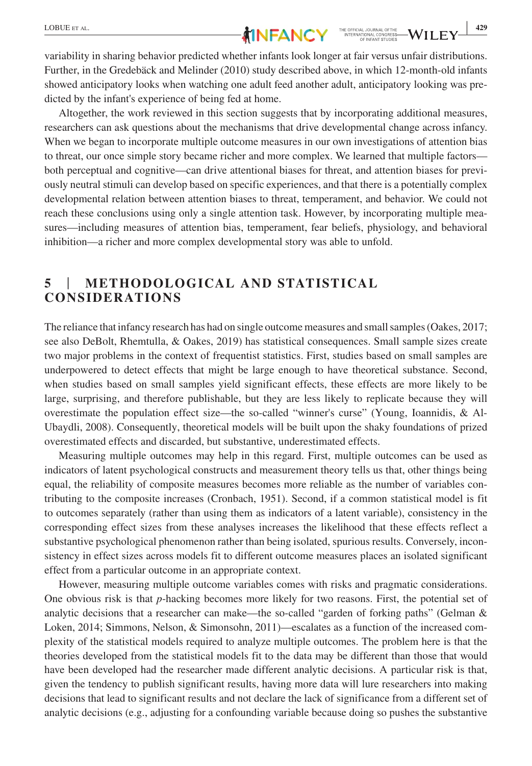Altogether, the work reviewed in this section suggests that by incorporating additional measures, researchers can ask questions about the mechanisms that drive developmental change across infancy. When we began to incorporate multiple outcome measures in our own investigations of attention bias to threat, our once simple story became richer and more complex. We learned that multiple factors both perceptual and cognitive—can drive attentional biases for threat, and attention biases for previously neutral stimuli can develop based on specific experiences, and that there is a potentially complex developmental relation between attention biases to threat, temperament, and behavior. We could not reach these conclusions using only a single attention task. However, by incorporating multiple measures—including measures of attention bias, temperament, fear beliefs, physiology, and behavioral inhibition—a richer and more complex developmental story was able to unfold.

# **5** | **METHODOLOGICAL AND STATISTICAL CONSIDERATIONS**

The reliance that infancy research has had on single outcome measures and small samples (Oakes, 2017; see also DeBolt, Rhemtulla, & Oakes, 2019) has statistical consequences. Small sample sizes create two major problems in the context of frequentist statistics. First, studies based on small samples are underpowered to detect effects that might be large enough to have theoretical substance. Second, when studies based on small samples yield significant effects, these effects are more likely to be large, surprising, and therefore publishable, but they are less likely to replicate because they will overestimate the population effect size—the so-called "winner's curse" (Young, Ioannidis, & Al-Ubaydli, 2008). Consequently, theoretical models will be built upon the shaky foundations of prized overestimated effects and discarded, but substantive, underestimated effects.

Measuring multiple outcomes may help in this regard. First, multiple outcomes can be used as indicators of latent psychological constructs and measurement theory tells us that, other things being equal, the reliability of composite measures becomes more reliable as the number of variables contributing to the composite increases (Cronbach, 1951). Second, if a common statistical model is fit to outcomes separately (rather than using them as indicators of a latent variable), consistency in the corresponding effect sizes from these analyses increases the likelihood that these effects reflect a substantive psychological phenomenon rather than being isolated, spurious results. Conversely, inconsistency in effect sizes across models fit to different outcome measures places an isolated significant effect from a particular outcome in an appropriate context.

However, measuring multiple outcome variables comes with risks and pragmatic considerations. One obvious risk is that *p*-hacking becomes more likely for two reasons. First, the potential set of analytic decisions that a researcher can make—the so-called "garden of forking paths" (Gelman & Loken, 2014; Simmons, Nelson, & Simonsohn, 2011)—escalates as a function of the increased complexity of the statistical models required to analyze multiple outcomes. The problem here is that the theories developed from the statistical models fit to the data may be different than those that would have been developed had the researcher made different analytic decisions. A particular risk is that, given the tendency to publish significant results, having more data will lure researchers into making decisions that lead to significant results and not declare the lack of significance from a different set of analytic decisions (e.g., adjusting for a confounding variable because doing so pushes the substantive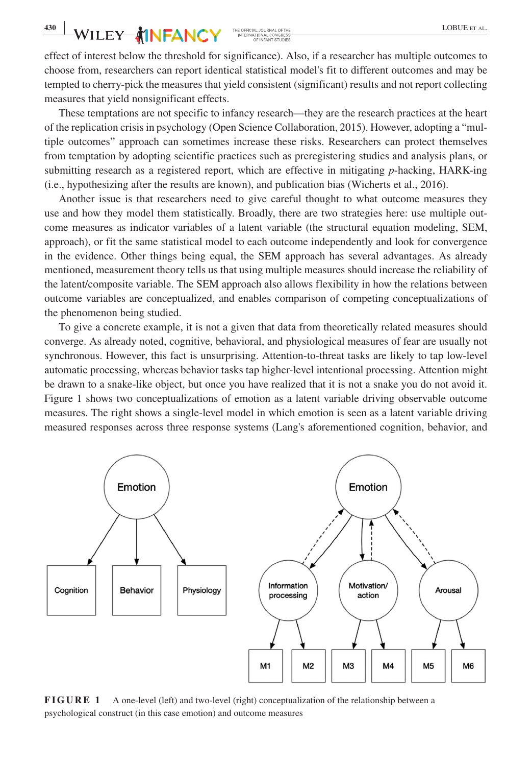effect of interest below the threshold for significance). Also, if a researcher has multiple outcomes to choose from, researchers can report identical statistical model's fit to different outcomes and may be tempted to cherry-pick the measures that yield consistent (significant) results and not report collecting measures that yield nonsignificant effects.

These temptations are not specific to infancy research—they are the research practices at the heart of the replication crisis in psychology (Open Science Collaboration, 2015). However, adopting a "multiple outcomes" approach can sometimes increase these risks. Researchers can protect themselves from temptation by adopting scientific practices such as preregistering studies and analysis plans, or submitting research as a registered report, which are effective in mitigating *p*-hacking, HARK-ing (i.e., hypothesizing after the results are known), and publication bias (Wicherts et al., 2016).

Another issue is that researchers need to give careful thought to what outcome measures they use and how they model them statistically. Broadly, there are two strategies here: use multiple outcome measures as indicator variables of a latent variable (the structural equation modeling, SEM, approach), or fit the same statistical model to each outcome independently and look for convergence in the evidence. Other things being equal, the SEM approach has several advantages. As already mentioned, measurement theory tells us that using multiple measures should increase the reliability of the latent/composite variable. The SEM approach also allows flexibility in how the relations between outcome variables are conceptualized, and enables comparison of competing conceptualizations of the phenomenon being studied.

To give a concrete example, it is not a given that data from theoretically related measures should converge. As already noted, cognitive, behavioral, and physiological measures of fear are usually not synchronous. However, this fact is unsurprising. Attention-to-threat tasks are likely to tap low-level automatic processing, whereas behavior tasks tap higher-level intentional processing. Attention might be drawn to a snake-like object, but once you have realized that it is not a snake you do not avoid it. Figure 1 shows two conceptualizations of emotion as a latent variable driving observable outcome measures. The right shows a single-level model in which emotion is seen as a latent variable driving measured responses across three response systems (Lang's aforementioned cognition, behavior, and



**FIGURE 1** A one-level (left) and two-level (right) conceptualization of the relationship between a psychological construct (in this case emotion) and outcome measures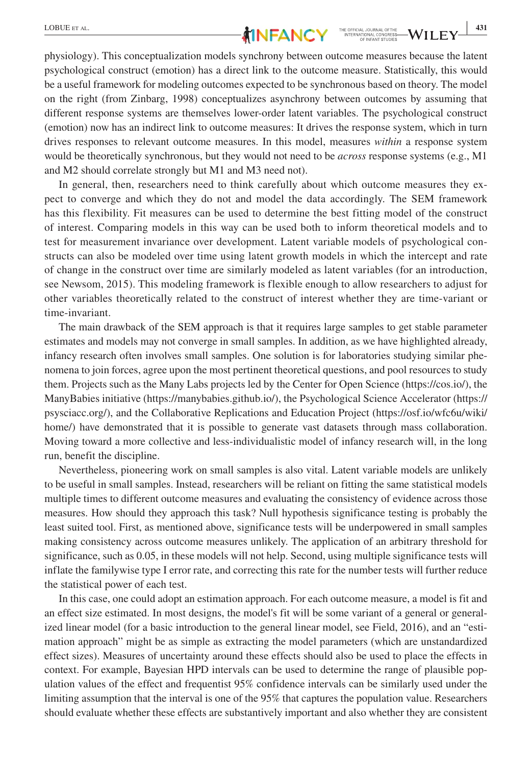

physiology). This conceptualization models synchrony between outcome measures because the latent psychological construct (emotion) has a direct link to the outcome measure. Statistically, this would be a useful framework for modeling outcomes expected to be synchronous based on theory. The model on the right (from Zinbarg, 1998) conceptualizes asynchrony between outcomes by assuming that different response systems are themselves lower-order latent variables. The psychological construct (emotion) now has an indirect link to outcome measures: It drives the response system, which in turn drives responses to relevant outcome measures. In this model, measures *within* a response system would be theoretically synchronous, but they would not need to be *across* response systems (e.g., M1 and M2 should correlate strongly but M1 and M3 need not).

In general, then, researchers need to think carefully about which outcome measures they expect to converge and which they do not and model the data accordingly. The SEM framework has this flexibility. Fit measures can be used to determine the best fitting model of the construct of interest. Comparing models in this way can be used both to inform theoretical models and to test for measurement invariance over development. Latent variable models of psychological constructs can also be modeled over time using latent growth models in which the intercept and rate of change in the construct over time are similarly modeled as latent variables (for an introduction, see Newsom, 2015). This modeling framework is flexible enough to allow researchers to adjust for other variables theoretically related to the construct of interest whether they are time-variant or time-invariant.

The main drawback of the SEM approach is that it requires large samples to get stable parameter estimates and models may not converge in small samples. In addition, as we have highlighted already, infancy research often involves small samples. One solution is for laboratories studying similar phenomena to join forces, agree upon the most pertinent theoretical questions, and pool resources to study them. Projects such as the Many Labs projects led by the Center for Open Science ([https://cos.io/\)](https://cos.io/), the ManyBabies initiative (<https://manybabies.github.io/>), the Psychological Science Accelerator [\(https://](https://psysciacc.org/) [psysciacc.org/](https://psysciacc.org/)), and the Collaborative Replications and Education Project ([https://osf.io/wfc6u/wiki/](https://osf.io/wfc6u/wiki/home/) [home/\)](https://osf.io/wfc6u/wiki/home/) have demonstrated that it is possible to generate vast datasets through mass collaboration. Moving toward a more collective and less-individualistic model of infancy research will, in the long run, benefit the discipline.

Nevertheless, pioneering work on small samples is also vital. Latent variable models are unlikely to be useful in small samples. Instead, researchers will be reliant on fitting the same statistical models multiple times to different outcome measures and evaluating the consistency of evidence across those measures. How should they approach this task? Null hypothesis significance testing is probably the least suited tool. First, as mentioned above, significance tests will be underpowered in small samples making consistency across outcome measures unlikely. The application of an arbitrary threshold for significance, such as 0.05, in these models will not help. Second, using multiple significance tests will inflate the familywise type I error rate, and correcting this rate for the number tests will further reduce the statistical power of each test.

In this case, one could adopt an estimation approach. For each outcome measure, a model is fit and an effect size estimated. In most designs, the model's fit will be some variant of a general or generalized linear model (for a basic introduction to the general linear model, see Field, 2016), and an "estimation approach" might be as simple as extracting the model parameters (which are unstandardized effect sizes). Measures of uncertainty around these effects should also be used to place the effects in context. For example, Bayesian HPD intervals can be used to determine the range of plausible population values of the effect and frequentist 95% confidence intervals can be similarly used under the limiting assumption that the interval is one of the 95% that captures the population value. Researchers should evaluate whether these effects are substantively important and also whether they are consistent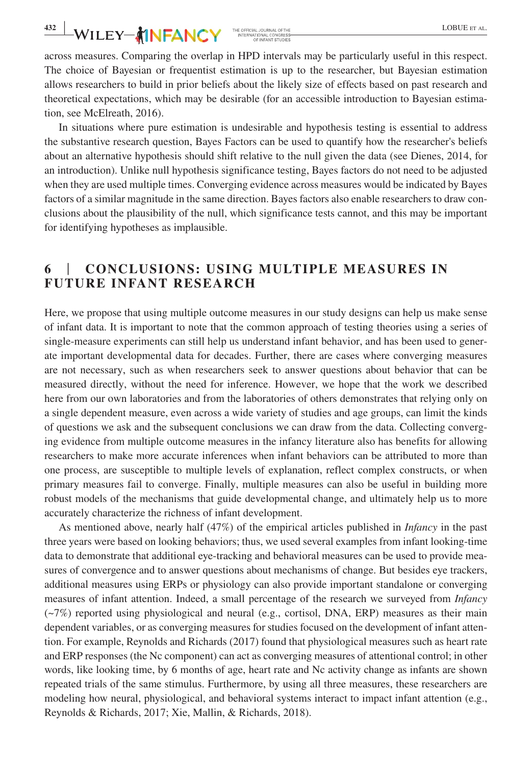**432 WILEY-AINFANCY** THE OFFICIAL JOURNAL OFTHE **LOBUE ET AL.** 

across measures. Comparing the overlap in HPD intervals may be particularly useful in this respect. The choice of Bayesian or frequentist estimation is up to the researcher, but Bayesian estimation allows researchers to build in prior beliefs about the likely size of effects based on past research and theoretical expectations, which may be desirable (for an accessible introduction to Bayesian estimation, see McElreath, 2016).

In situations where pure estimation is undesirable and hypothesis testing is essential to address the substantive research question, Bayes Factors can be used to quantify how the researcher's beliefs about an alternative hypothesis should shift relative to the null given the data (see Dienes, 2014, for an introduction). Unlike null hypothesis significance testing, Bayes factors do not need to be adjusted when they are used multiple times. Converging evidence across measures would be indicated by Bayes factors of a similar magnitude in the same direction. Bayes factors also enable researchers to draw conclusions about the plausibility of the null, which significance tests cannot, and this may be important for identifying hypotheses as implausible.

### **6** | **CONCLUSIONS: USING MULTIPLE MEASURES IN FUTURE INFANT RESEARCH**

Here, we propose that using multiple outcome measures in our study designs can help us make sense of infant data. It is important to note that the common approach of testing theories using a series of single-measure experiments can still help us understand infant behavior, and has been used to generate important developmental data for decades. Further, there are cases where converging measures are not necessary, such as when researchers seek to answer questions about behavior that can be measured directly, without the need for inference. However, we hope that the work we described here from our own laboratories and from the laboratories of others demonstrates that relying only on a single dependent measure, even across a wide variety of studies and age groups, can limit the kinds of questions we ask and the subsequent conclusions we can draw from the data. Collecting converging evidence from multiple outcome measures in the infancy literature also has benefits for allowing researchers to make more accurate inferences when infant behaviors can be attributed to more than one process, are susceptible to multiple levels of explanation, reflect complex constructs, or when primary measures fail to converge. Finally, multiple measures can also be useful in building more robust models of the mechanisms that guide developmental change, and ultimately help us to more accurately characterize the richness of infant development.

As mentioned above, nearly half (47%) of the empirical articles published in *Infancy* in the past three years were based on looking behaviors; thus, we used several examples from infant looking-time data to demonstrate that additional eye-tracking and behavioral measures can be used to provide measures of convergence and to answer questions about mechanisms of change. But besides eye trackers, additional measures using ERPs or physiology can also provide important standalone or converging measures of infant attention. Indeed, a small percentage of the research we surveyed from *Infancy* (~7%) reported using physiological and neural (e.g., cortisol, DNA, ERP) measures as their main dependent variables, or as converging measures for studies focused on the development of infant attention. For example, Reynolds and Richards (2017) found that physiological measures such as heart rate and ERP responses (the Nc component) can act as converging measures of attentional control; in other words, like looking time, by 6 months of age, heart rate and Nc activity change as infants are shown repeated trials of the same stimulus. Furthermore, by using all three measures, these researchers are modeling how neural, physiological, and behavioral systems interact to impact infant attention (e.g., Reynolds & Richards, 2017; Xie, Mallin, & Richards, 2018).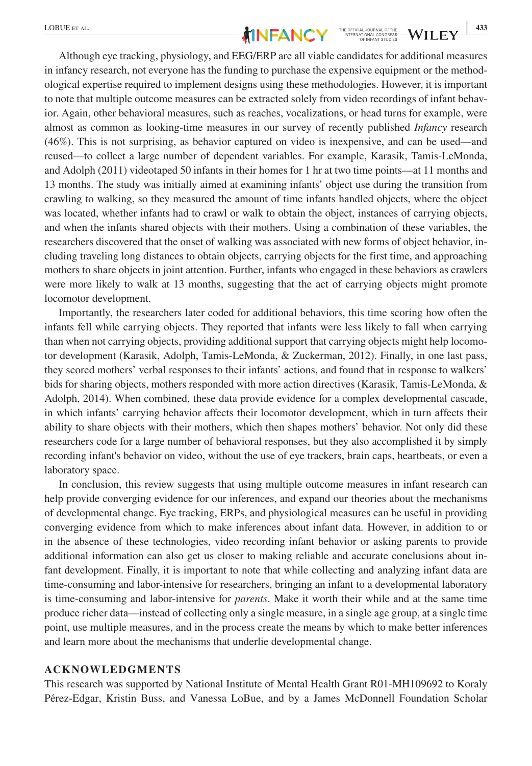Although eye tracking, physiology, and EEG/ERP are all viable candidates for additional measures in infancy research, not everyone has the funding to purchase the expensive equipment or the methodological expertise required to implement designs using these methodologies. However, it is important to note that multiple outcome measures can be extracted solely from video recordings of infant behavior. Again, other behavioral measures, such as reaches, vocalizations, or head turns for example, were almost as common as looking-time measures in our survey of recently published *Infancy* research (46%). This is not surprising, as behavior captured on video is inexpensive, and can be used—and reused—to collect a large number of dependent variables. For example, Karasik, Tamis-LeMonda, and Adolph (2011) videotaped 50 infants in their homes for 1 hr at two time points—at 11 months and 13 months. The study was initially aimed at examining infants' object use during the transition from crawling to walking, so they measured the amount of time infants handled objects, where the object was located, whether infants had to crawl or walk to obtain the object, instances of carrying objects, and when the infants shared objects with their mothers. Using a combination of these variables, the researchers discovered that the onset of walking was associated with new forms of object behavior, including traveling long distances to obtain objects, carrying objects for the first time, and approaching mothers to share objects in joint attention. Further, infants who engaged in these behaviors as crawlers were more likely to walk at 13 months, suggesting that the act of carrying objects might promote locomotor development.

Importantly, the researchers later coded for additional behaviors, this time scoring how often the infants fell while carrying objects. They reported that infants were less likely to fall when carrying than when not carrying objects, providing additional support that carrying objects might help locomotor development (Karasik, Adolph, Tamis-LeMonda, & Zuckerman, 2012). Finally, in one last pass, they scored mothers' verbal responses to their infants' actions, and found that in response to walkers' bids for sharing objects, mothers responded with more action directives (Karasik, Tamis-LeMonda, & Adolph, 2014). When combined, these data provide evidence for a complex developmental cascade, in which infants' carrying behavior affects their locomotor development, which in turn affects their ability to share objects with their mothers, which then shapes mothers' behavior. Not only did these researchers code for a large number of behavioral responses, but they also accomplished it by simply recording infant's behavior on video, without the use of eye trackers, brain caps, heartbeats, or even a laboratory space.

In conclusion, this review suggests that using multiple outcome measures in infant research can help provide converging evidence for our inferences, and expand our theories about the mechanisms of developmental change. Eye tracking, ERPs, and physiological measures can be useful in providing converging evidence from which to make inferences about infant data. However, in addition to or in the absence of these technologies, video recording infant behavior or asking parents to provide additional information can also get us closer to making reliable and accurate conclusions about infant development. Finally, it is important to note that while collecting and analyzing infant data are time-consuming and labor-intensive for researchers, bringing an infant to a developmental laboratory is time-consuming and labor-intensive for *parents*. Make it worth their while and at the same time produce richer data—instead of collecting only a single measure, in a single age group, at a single time point, use multiple measures, and in the process create the means by which to make better inferences and learn more about the mechanisms that underlie developmental change.

### **ACKNOWLEDGMENTS**

This research was supported by National Institute of Mental Health Grant R01-MH109692 to Koraly Pérez-Edgar, Kristin Buss, and Vanessa LoBue, and by a James McDonnell Foundation Scholar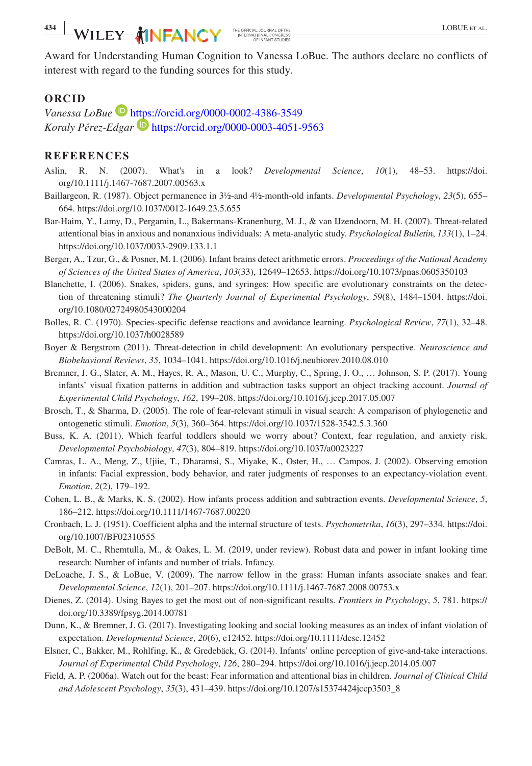# **434 WILEY-AINFANCY** THE OFFICAL JOURNAL OFTHE **ALL DESCRIPTION CONTRACT OF THE ALL PROPERTY ALL PROPERTY ALL PROPERTY ALL PROPERTY ALL PROPERTY ALL PROPERTY ALL PROPERTY ALL PROPERTY ALL PROPERTY ALL PROPERTY ALL PROPERTY**

Award for Understanding Human Cognition to Vanessa LoBue. The authors declare no conflicts of interest with regard to the funding sources for this study.

### **ORCID**

*Vanessa LoBue* <https://orcid.org/0000-0002-4386-3549> *Koraly Pérez-Edgar* <https://orcid.org/0000-0003-4051-9563>

#### **REFERENCES**

- Aslin, R. N. (2007). What's in a look? *Developmental Science*, *10*(1), 48–53. [https://doi.](https://doi.org/10.1111/j.1467-7687.2007.00563.x) [org/10.1111/j.1467-7687.2007.00563.x](https://doi.org/10.1111/j.1467-7687.2007.00563.x)
- Baillargeon, R. (1987). Object permanence in 3½-and 4½-month-old infants. *Developmental Psychology*, *23*(5), 655– 664. <https://doi.org/10.1037/0012-1649.23.5.655>
- Bar-Haim, Y., Lamy, D., Pergamin, L., Bakermans-Kranenburg, M. J., & van IJzendoorn, M. H. (2007). Threat-related attentional bias in anxious and nonanxious individuals: A meta-analytic study. *Psychological Bulletin*, *133*(1), 1–24. <https://doi.org/10.1037/0033-2909.133.1.1>
- Berger, A., Tzur, G., & Posner, M. I. (2006). Infant brains detect arithmetic errors. *Proceedings of the National Academy of Sciences of the United States of America*, *103*(33), 12649–12653.<https://doi.org/10.1073/pnas.0605350103>
- Blanchette, I. (2006). Snakes, spiders, guns, and syringes: How specific are evolutionary constraints on the detection of threatening stimuli? *The Quarterly Journal of Experimental Psychology*, *59*(8), 1484–1504. [https://doi.](https://doi.org/10.1080/02724980543000204) [org/10.1080/02724980543000204](https://doi.org/10.1080/02724980543000204)
- Bolles, R. C. (1970). Species-specific defense reactions and avoidance learning. *Psychological Review*, *77*(1), 32–48. <https://doi.org/10.1037/h0028589>
- Boyer & Bergstrom (2011). Threat-detection in child development: An evolutionary perspective. *Neuroscience and Biobehavioral Reviews*, *35*, 1034–1041.<https://doi.org/10.1016/j.neubiorev.2010.08.010>
- Bremner, J. G., Slater, A. M., Hayes, R. A., Mason, U. C., Murphy, C., Spring, J. O., … Johnson, S. P. (2017). Young infants' visual fixation patterns in addition and subtraction tasks support an object tracking account. *Journal of Experimental Child Psychology*, *162*, 199–208. <https://doi.org/10.1016/j.jecp.2017.05.007>
- Brosch, T., & Sharma, D. (2005). The role of fear-relevant stimuli in visual search: A comparison of phylogenetic and ontogenetic stimuli. *Emotion*, *5*(3), 360–364.<https://doi.org/10.1037/1528-3542.5.3.360>
- Buss, K. A. (2011). Which fearful toddlers should we worry about? Context, fear regulation, and anxiety risk. *Developmental Psychobiology*, *47*(3), 804–819. <https://doi.org/10.1037/a0023227>
- Camras, L. A., Meng, Z., Ujiie, T., Dharamsi, S., Miyake, K., Oster, H., … Campos, J. (2002). Observing emotion in infants: Facial expression, body behavior, and rater judgments of responses to an expectancy-violation event. *Emotion*, *2*(2), 179–192.
- Cohen, L. B., & Marks, K. S. (2002). How infants process addition and subtraction events. *Developmental Science*, *5*, 186–212. <https://doi.org/10.1111/1467-7687.00220>
- Cronbach, L. J. (1951). Coefficient alpha and the internal structure of tests. *Psychometrika*, *16*(3), 297–334. [https://doi.](https://doi.org/10.1007/BF02310555) [org/10.1007/BF02310555](https://doi.org/10.1007/BF02310555)
- DeBolt, M. C., Rhemtulla, M., & Oakes, L. M. (2019, under review). Robust data and power in infant looking time research: Number of infants and number of trials. Infancy.
- DeLoache, J. S., & LoBue, V. (2009). The narrow fellow in the grass: Human infants associate snakes and fear. *Developmental Science*, *12*(1), 201–207. <https://doi.org/10.1111/j.1467-7687.2008.00753.x>
- Dienes, Z. (2014). Using Bayes to get the most out of non-significant results. *Frontiers in Psychology*, *5*, 781. [https://](https://doi.org/10.3389/fpsyg.2014.00781) [doi.org/10.3389/fpsyg.2014.00781](https://doi.org/10.3389/fpsyg.2014.00781)
- Dunn, K., & Bremner, J. G. (2017). Investigating looking and social looking measures as an index of infant violation of expectation. *Developmental Science*, *20*(6), e12452.<https://doi.org/10.1111/desc.12452>
- Elsner, C., Bakker, M., Rohlfing, K., & Gredebäck, G. (2014). Infants' online perception of give-and-take interactions. *Journal of Experimental Child Psychology*, *126*, 280–294.<https://doi.org/10.1016/j.jecp.2014.05.007>
- Field, A. P. (2006a). Watch out for the beast: Fear information and attentional bias in children. *Journal of Clinical Child and Adolescent Psychology*, *35*(3), 431–439. [https://doi.org/10.1207/s15374424jccp3503\\_8](https://doi.org/10.1207/s15374424jccp3503_8)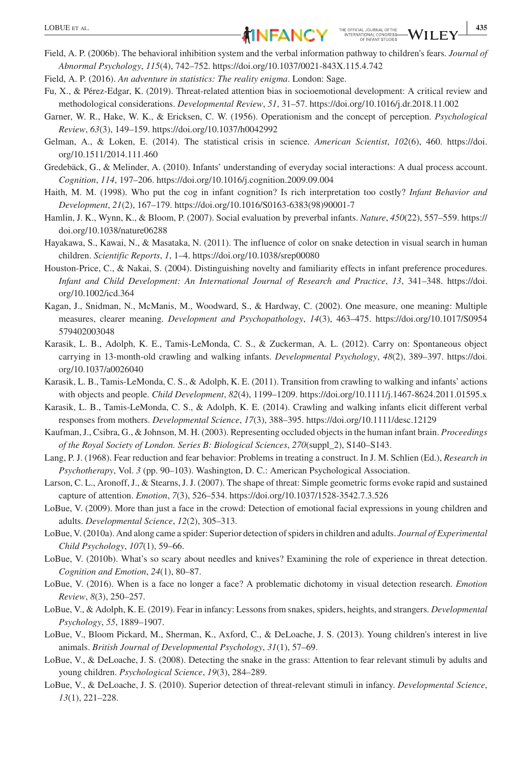- Field, A. P. (2006b). The behavioral inhibition system and the verbal information pathway to children's fears. *Journal of Abnormal Psychology*, *115*(4), 742–752. <https://doi.org/10.1037/0021-843X.115.4.742>
- Field, A. P. (2016). *An adventure in statistics: The reality enigma*. London: Sage.
- Fu, X., & Pérez-Edgar, K. (2019). Threat-related attention bias in socioemotional development: A critical review and methodological considerations. *Developmental Review*, *51*, 31–57.<https://doi.org/10.1016/j.dr.2018.11.002>
- Garner, W. R., Hake, W. K., & Ericksen, C. W. (1956). Operationism and the concept of perception. *Psychological Review*, *63*(3), 149–159. <https://doi.org/10.1037/h0042992>
- Gelman, A., & Loken, E. (2014). The statistical crisis in science. *American Scientist*, *102*(6), 460. [https://doi.](https://doi.org/10.1511/2014.111.460) [org/10.1511/2014.111.460](https://doi.org/10.1511/2014.111.460)
- Gredebäck, G., & Melinder, A. (2010). Infants' understanding of everyday social interactions: A dual process account. *Cognition*, *114*, 197–206. <https://doi.org/10.1016/j.cognition.2009.09.004>
- Haith, M. M. (1998). Who put the cog in infant cognition? Is rich interpretation too costly? *Infant Behavior and Development*, *21*(2), 167–179. [https://doi.org/10.1016/S0163-6383\(98\)90001-7](https://doi.org/10.1016/S0163-6383(98)90001-7)
- Hamlin, J. K., Wynn, K., & Bloom, P. (2007). Social evaluation by preverbal infants. *Nature*, *450*(22), 557–559. [https://](https://doi.org/10.1038/nature06288) [doi.org/10.1038/nature06288](https://doi.org/10.1038/nature06288)
- Hayakawa, S., Kawai, N., & Masataka, N. (2011). The influence of color on snake detection in visual search in human children. *Scientific Reports*, *1*, 1–4. <https://doi.org/10.1038/srep00080>
- Houston-Price, C., & Nakai, S. (2004). Distinguishing novelty and familiarity effects in infant preference procedures. *Infant and Child Development: An International Journal of Research and Practice*, *13*, 341–348. [https://doi.](https://doi.org/10.1002/icd.364) [org/10.1002/icd.364](https://doi.org/10.1002/icd.364)
- Kagan, J., Snidman, N., McManis, M., Woodward, S., & Hardway, C. (2002). One measure, one meaning: Multiple measures, clearer meaning. *Development and Psychopathology*, *14*(3), 463–475. [https://doi.org/10.1017/S0954](https://doi.org/10.1017/S0954579402003048) [579402003048](https://doi.org/10.1017/S0954579402003048)
- Karasik, L. B., Adolph, K. E., Tamis-LeMonda, C. S., & Zuckerman, A. L. (2012). Carry on: Spontaneous object carrying in 13-month-old crawling and walking infants. *Developmental Psychology*, *48*(2), 389–397. [https://doi.](https://doi.org/10.1037/a0026040) [org/10.1037/a0026040](https://doi.org/10.1037/a0026040)
- Karasik, L. B., Tamis-LeMonda, C. S., & Adolph, K. E. (2011). Transition from crawling to walking and infants' actions with objects and people. *Child Development*, *82*(4), 1199–1209.<https://doi.org/10.1111/j.1467-8624.2011.01595.x>
- Karasik, L. B., Tamis-LeMonda, C. S., & Adolph, K. E. (2014). Crawling and walking infants elicit different verbal responses from mothers. *Developmental Science*, *17*(3), 388–395.<https://doi.org/10.1111/desc.12129>
- Kaufman, J., Csibra, G., & Johnson, M. H. (2003). Representing occluded objects in the human infant brain. *Proceedings of the Royal Society of London. Series B: Biological Sciences*, *270*(suppl\_2), S140–S143.
- Lang, P. J. (1968). Fear reduction and fear behavior: Problems in treating a construct. In J. M. Schlien (Ed.), *Research in Psychotherapy*, Vol. *3* (pp. 90–103). Washington, D. C.: American Psychological Association.
- Larson, C. L., Aronoff, J., & Stearns, J. J. (2007). The shape of threat: Simple geometric forms evoke rapid and sustained capture of attention. *Emotion*, *7*(3), 526–534.<https://doi.org/10.1037/1528-3542.7.3.526>
- LoBue, V. (2009). More than just a face in the crowd: Detection of emotional facial expressions in young children and adults. *Developmental Science*, *12*(2), 305–313.
- LoBue, V. (2010a). And along came a spider: Superior detection of spiders in children and adults. *Journal of Experimental Child Psychology*, *107*(1), 59–66.
- LoBue, V. (2010b). What's so scary about needles and knives? Examining the role of experience in threat detection. *Cognition and Emotion*, *24*(1), 80–87.
- LoBue, V. (2016). When is a face no longer a face? A problematic dichotomy in visual detection research. *Emotion Review*, *8*(3), 250–257.
- LoBue, V., & Adolph, K. E. (2019). Fear in infancy: Lessons from snakes, spiders, heights, and strangers. *Developmental Psychology*, *55*, 1889–1907.
- LoBue, V., Bloom Pickard, M., Sherman, K., Axford, C., & DeLoache, J. S. (2013). Young children's interest in live animals. *British Journal of Developmental Psychology*, *31*(1), 57–69.
- LoBue, V., & DeLoache, J. S. (2008). Detecting the snake in the grass: Attention to fear relevant stimuli by adults and young children. *Psychological Science*, *19*(3), 284–289.
- LoBue, V., & DeLoache, J. S. (2010). Superior detection of threat-relevant stimuli in infancy. *Developmental Science*, *13*(1), 221–228.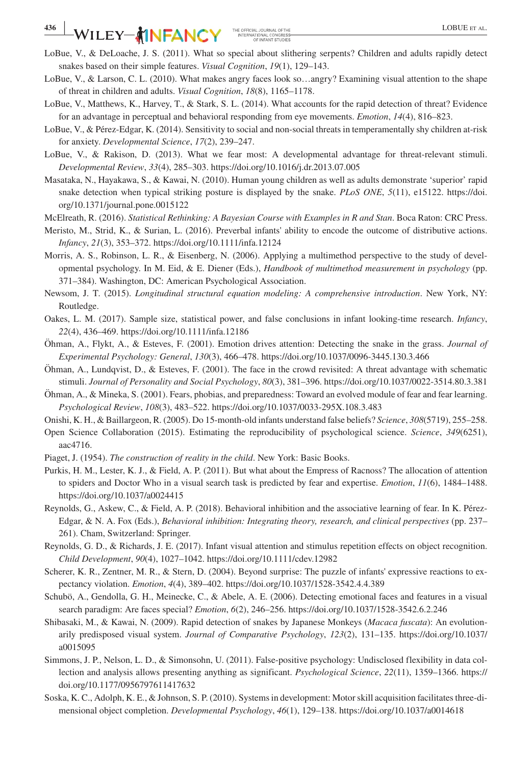- LoBue, V., & DeLoache, J. S. (2011). What so special about slithering serpents? Children and adults rapidly detect snakes based on their simple features. *Visual Cognition*, *19*(1), 129–143.
- LoBue, V., & Larson, C. L. (2010). What makes angry faces look so…angry? Examining visual attention to the shape of threat in children and adults. *Visual Cognition*, *18*(8), 1165–1178.
- LoBue, V., Matthews, K., Harvey, T., & Stark, S. L. (2014). What accounts for the rapid detection of threat? Evidence for an advantage in perceptual and behavioral responding from eye movements. *Emotion*, *14*(4), 816–823.
- LoBue, V., & Pérez-Edgar, K. (2014). Sensitivity to social and non-social threats in temperamentally shy children at-risk for anxiety. *Developmental Science*, *17*(2), 239–247.
- LoBue, V., & Rakison, D. (2013). What we fear most: A developmental advantage for threat-relevant stimuli. *Developmental Review*, *33*(4), 285–303.<https://doi.org/10.1016/j.dr.2013.07.005>
- Masataka, N., Hayakawa, S., & Kawai, N. (2010). Human young children as well as adults demonstrate 'superior' rapid snake detection when typical striking posture is displayed by the snake. *PLoS ONE*, *5*(11), e15122. [https://doi.](https://doi.org/10.1371/journal.pone.0015122) [org/10.1371/journal.pone.0015122](https://doi.org/10.1371/journal.pone.0015122)
- McElreath, R. (2016). *Statistical Rethinking: A Bayesian Course with Examples in R and Stan*. Boca Raton: CRC Press.
- Meristo, M., Strid, K., & Surian, L. (2016). Preverbal infants' ability to encode the outcome of distributive actions. *Infancy*, *21*(3), 353–372. <https://doi.org/10.1111/infa.12124>
- Morris, A. S., Robinson, L. R., & Eisenberg, N. (2006). Applying a multimethod perspective to the study of developmental psychology. In M. Eid, & E. Diener (Eds.), *Handbook of multimethod measurement in psychology* (pp. 371–384). Washington, DC: American Psychological Association.
- Newsom, J. T. (2015). *Longitudinal structural equation modeling: A comprehensive introduction*. New York, NY: Routledge.
- Oakes, L. M. (2017). Sample size, statistical power, and false conclusions in infant looking-time research. *Infancy*, *22*(4), 436–469.<https://doi.org/10.1111/infa.12186>
- Öhman, A., Flykt, A., & Esteves, F. (2001). Emotion drives attention: Detecting the snake in the grass. *Journal of Experimental Psychology: General*, *130*(3), 466–478.<https://doi.org/10.1037/0096-3445.130.3.466>
- Öhman, A., Lundqvist, D., & Esteves, F. (2001). The face in the crowd revisited: A threat advantage with schematic stimuli. *Journal of Personality and Social Psychology*, *80*(3), 381–396.<https://doi.org/10.1037/0022-3514.80.3.381>
- Öhman, A., & Mineka, S. (2001). Fears, phobias, and preparedness: Toward an evolved module of fear and fear learning. *Psychological Review*, *108*(3), 483–522.<https://doi.org/10.1037/0033-295X.108.3.483>
- Onishi, K. H., & Baillargeon, R. (2005). Do 15-month-old infants understand false beliefs? *Science*, *308*(5719), 255–258.
- Open Science Collaboration (2015). Estimating the reproducibility of psychological science. *Science*, *349*(6251), aac4716.
- Piaget, J. (1954). *The construction of reality in the child*. New York: Basic Books.
- Purkis, H. M., Lester, K. J., & Field, A. P. (2011). But what about the Empress of Racnoss? The allocation of attention to spiders and Doctor Who in a visual search task is predicted by fear and expertise. *Emotion*, *11*(6), 1484–1488. <https://doi.org/10.1037/a0024415>
- Reynolds, G., Askew, C., & Field, A. P. (2018). Behavioral inhibition and the associative learning of fear. In K. Pérez-Edgar, & N. A. Fox (Eds.), *Behavioral inhibition: Integrating theory, research, and clinical perspectives* (pp. 237– 261). Cham, Switzerland: Springer.
- Reynolds, G. D., & Richards, J. E. (2017). Infant visual attention and stimulus repetition effects on object recognition. *Child Development*, *90*(4), 1027–1042. <https://doi.org/10.1111/cdev.12982>
- Scherer, K. R., Zentner, M. R., & Stern, D. (2004). Beyond surprise: The puzzle of infants' expressive reactions to expectancy violation. *Emotion*, *4*(4), 389–402. <https://doi.org/10.1037/1528-3542.4.4.389>
- Schubö, A., Gendolla, G. H., Meinecke, C., & Abele, A. E. (2006). Detecting emotional faces and features in a visual search paradigm: Are faces special? *Emotion*, *6*(2), 246–256. <https://doi.org/10.1037/1528-3542.6.2.246>
- Shibasaki, M., & Kawai, N. (2009). Rapid detection of snakes by Japanese Monkeys (*Macaca fuscata*): An evolutionarily predisposed visual system. *Journal of Comparative Psychology*, *123*(2), 131–135. [https://doi.org/10.1037/](https://doi.org/10.1037/a0015095) [a0015095](https://doi.org/10.1037/a0015095)
- Simmons, J. P., Nelson, L. D., & Simonsohn, U. (2011). False-positive psychology: Undisclosed flexibility in data collection and analysis allows presenting anything as significant. *Psychological Science*, *22*(11), 1359–1366. [https://](https://doi.org/10.1177/0956797611417632) [doi.org/10.1177/0956797611417632](https://doi.org/10.1177/0956797611417632)
- Soska, K. C., Adolph, K. E., & Johnson, S. P. (2010). Systems in development: Motor skill acquisition facilitates three-dimensional object completion. *Developmental Psychology*, *46*(1), 129–138.<https://doi.org/10.1037/a0014618>